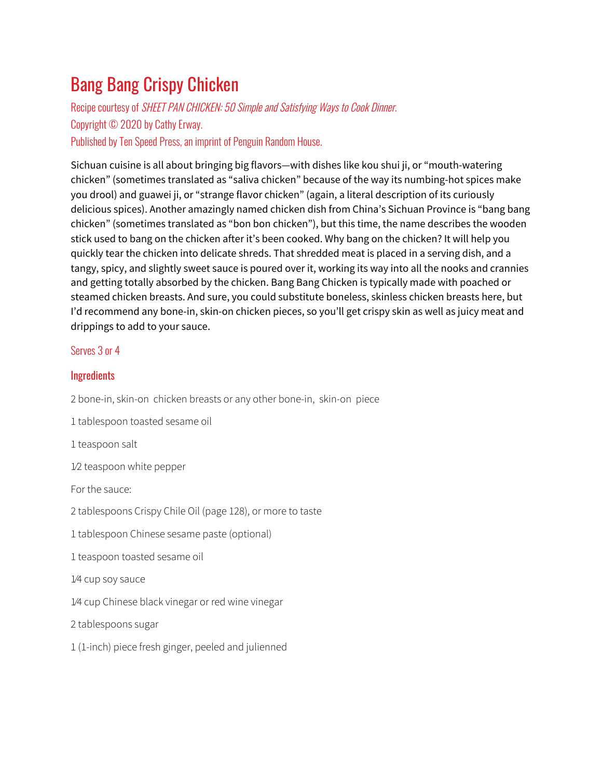## Bang Bang Crispy Chicken

Recipe courtesy of *SHEET PAN CHICKEN: 50 Simple and Satisfying Ways to Cook Dinner.* Copyright © 2020 by Cathy Erway. Published by Ten Speed Press, an imprint of Penguin Random House.

Sichuan cuisine is all about bringing big flavors—with dishes like kou shui ji, or "mouth-watering chicken" (sometimes translated as "saliva chicken" because of the way its numbing-hot spices make you drool) and guawei ji, or "strange flavor chicken" (again, a literal description of its curiously delicious spices). Another amazingly named chicken dish from China's Sichuan Province is "bang bang chicken" (sometimes translated as "bon bon chicken"), but this time, the name describes the wooden stick used to bang on the chicken after it's been cooked. Why bang on the chicken? It will help you quickly tear the chicken into delicate shreds. That shredded meat is placed in a serving dish, and a tangy, spicy, and slightly sweet sauce is poured over it, working its way into all the nooks and crannies and getting totally absorbed by the chicken. Bang Bang Chicken is typically made with poached or steamed chicken breasts. And sure, you could substitute boneless, skinless chicken breasts here, but I'd recommend any bone-in, skin-on chicken pieces, so you'll get crispy skin as well as juicy meat and drippings to add to your sauce.

## Serves 3 or 4

## **Ingredients**

2 bone-in, skin-on chicken breasts or any other bone-in, skin-on piece

- 1 tablespoon toasted sesame oil
- 1 teaspoon salt
- 1⁄2 teaspoon white pepper

For the sauce:

- 2 tablespoons Crispy Chile Oil (page 128), or more to taste
- 1 tablespoon Chinese sesame paste (optional)
- 1 teaspoon toasted sesame oil
- 1⁄4 cup soy sauce
- 1⁄4 cup Chinese black vinegar or red wine vinegar
- 2 tablespoons sugar
- 1 (1-inch) piece fresh ginger, peeled and julienned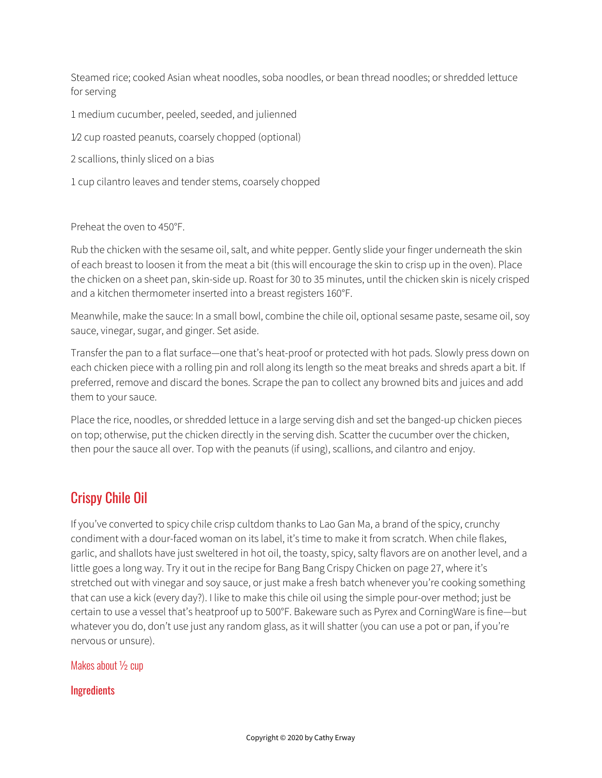Steamed rice; cooked Asian wheat noodles, soba noodles, or bean thread noodles; or shredded lettuce for serving

1 medium cucumber, peeled, seeded, and julienned

1⁄2 cup roasted peanuts, coarsely chopped (optional)

2 scallions, thinly sliced on a bias

1 cup cilantro leaves and tender stems, coarsely chopped

Preheat the oven to 450°F.

Rub the chicken with the sesame oil, salt, and white pepper. Gently slide your finger underneath the skin of each breast to loosen it from the meat a bit (this will encourage the skin to crisp up in the oven). Place the chicken on a sheet pan, skin-side up. Roast for 30 to 35 minutes, until the chicken skin is nicely crisped and a kitchen thermometer inserted into a breast registers 160°F.

Meanwhile, make the sauce: In a small bowl, combine the chile oil, optional sesame paste, sesame oil, soy sauce, vinegar, sugar, and ginger. Set aside.

Transfer the pan to a flat surface—one that's heat-proof or protected with hot pads. Slowly press down on each chicken piece with a rolling pin and roll along its length so the meat breaks and shreds apart a bit. If preferred, remove and discard the bones. Scrape the pan to collect any browned bits and juices and add them to your sauce.

Place the rice, noodles, or shredded lettuce in a large serving dish and set the banged-up chicken pieces on top; otherwise, put the chicken directly in the serving dish. Scatter the cucumber over the chicken, then pour the sauce all over. Top with the peanuts (if using), scallions, and cilantro and enjoy.

## Crispy Chile Oil

If you've converted to spicy chile crisp cultdom thanks to Lao Gan Ma, a brand of the spicy, crunchy condiment with a dour-faced woman on its label, it's time to make it from scratch. When chile flakes, garlic, and shallots have just sweltered in hot oil, the toasty, spicy, salty flavors are on another level, and a little goes a long way. Try it out in the recipe for Bang Bang Crispy Chicken on page 27, where it's stretched out with vinegar and soy sauce, or just make a fresh batch whenever you're cooking something that can use a kick (every day?). I like to make this chile oil using the simple pour-over method; just be certain to use a vessel that's heatproof up to 500°F. Bakeware such as Pyrex and CorningWare is fine—but whatever you do, don't use just any random glass, as it will shatter (you can use a pot or pan, if you're nervous or unsure).

Makes about <sup>1/2</sup> cup

**Ingredients**